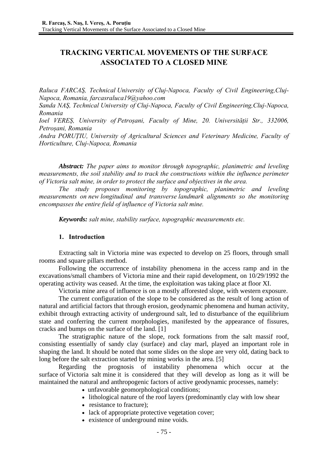# **TRACKING VERTICAL MOVEMENTS OF THE SURFACE ASSOCIATED TO A CLOSED MINE**

*Raluca FARCAŞ, Technical University of Cluj-Napoca, Faculty of Civil Engineering,Cluj-Napoca, Romania, farcasraluca19@yahoo.com* 

*Sanda NAŞ, Technical University of Cluj-Napoca, Faculty of Civil Engineering,Cluj-Napoca, Romania* 

*Ioel VEREȘ, University of Petroșani, Faculty of Mine, 20. Universității Str., 332006, Petroșani, Romania* 

*Andra PORUȚIU, University of Agricultural Sciences and Veterinary Medicine, Faculty of Horticulture, Cluj-Napoca, Romania* 

*Abstract: The paper aims to monitor through topographic, planimetric and leveling measurements, the soil stability and to track the constructions within the influence perimeter of Victoria salt mine, in order to protect the surface and objectives in the area.* 

*The study proposes monitoring by topographic, planimetric and leveling measurements on new longitudinal and transverse landmark alignments so the monitoring encompasses the entire field of influence of Victoria salt mine.* 

*Keywords: salt mine, stability surface, topographic measurements etc.* 

### **1. Introduction**

Extracting salt in Victoria mine was expected to develop on 25 floors, through small rooms and square pillars method.

Following the occurrence of instability phenomena in the access ramp and in the excavations/small chambers of Victoria mine and their rapid development, on 10/29/1992 the operating activity was ceased. At the time, the exploitation was taking place at floor XI.

Victoria mine area of influence is on a mostly afforested slope, with western exposure.

The current configuration of the slope to be considered as the result of long action of natural and artificial factors that through erosion, geodynamic phenomena and human activity, exhibit through extracting activity of underground salt, led to disturbance of the equilibrium state and conferring the current morphologies, manifested by the appearance of fissures, cracks and bumps on the surface of the land. [1]

The stratigraphic nature of the slope, rock formations from the salt massif roof, consisting essentially of sandy clay (surface) and clay marl, played an important role in shaping the land. It should be noted that some slides on the slope are very old, dating back to long before the salt extraction started by mining works in the area. [5]

Regarding the prognosis of instability phenomena which occur at the surface of Victoria salt mine it is considered that they will develop as long as it will be maintained the natural and anthropogenic factors of active geodynamic processes, namely:

- unfavorable geomorphological conditions;
- lithological nature of the roof layers (predominantly clay with low shear
- resistance to fracture):
- lack of appropriate protective vegetation cover:
- existence of underground mine voids.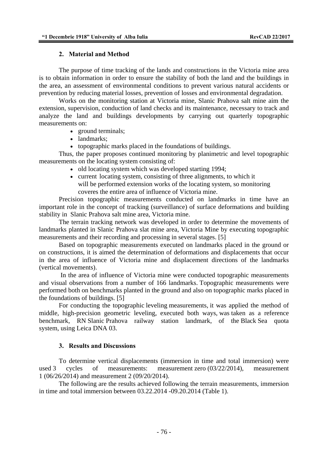### **2. Material and Method**

The purpose of time tracking of the lands and constructions in the Victoria mine area is to obtain information in order to ensure the stability of both the land and the buildings in the area, an assessment of environmental conditions to prevent various natural accidents or prevention by reducing material losses, prevention of losses and environmental degradation.

Works on the monitoring station at Victoria mine, Slanic Prahova salt mine aim the extension, supervision, conduction of land checks and its maintenance, necessary to track and analyze the land and buildings developments by carrying out quarterly topographic measurements on:

- ground terminals;
- landmarks;
- topographic marks placed in the foundations of buildings.

Thus, the paper proposes continued monitoring by planimetric and level topographic measurements on the locating system consisting of:

- old locating system which was developed starting 1994;
- current locating system, consisting of three alignments, to which it will be performed extension works of the locating system, so monitoring coveres the entire area of influence of Victoria mine.

Precision topographic measurements conducted on landmarks in time have an important role in the concept of tracking (surveillance) of surface deformations and building stability in Slanic Prahova salt mine area, Victoria mine.

The terrain tracking network was developed in order to determine the movements of landmarks planted in Slanic Prahova slat mine area, Victoria Mine by executing topographic measurements and their recording and processing in several stages. [5]

Based on topographic measurements executed on landmarks placed in the ground or on constructions, it is aimed the determination of deformations and displacements that occur in the area of influence of Victoria mine and displacement directions of the landmarks (vertical movements).

 In the area of influence of Victoria mine were conducted topographic measurements and visual observations from a number of 166 landmarks. Topographic measurements were performed both on benchmarks planted in the ground and also on topographic marks placed in the foundations of buildings. [5]

For conducting the topographic leveling measurements, it was applied the method of middle, high-precision geometric leveling, executed both ways, was taken as a reference benchmark, RN Slanic Prahova railway station landmark, of the Black Sea quota system, using Leica DNA 03.

## **3. Results and Discussions**

To determine vertical displacements (immersion in time and total immersion) were used 3 cycles of measurements: measurement zero (03/22/2014), measurement 1 (06/26/2014) and measurement 2 (09/20/2014).

 The following are the results achieved following the terrain measurements, immersion in time and total immersion between 03.22.2014 -09.20.2014 (Table 1).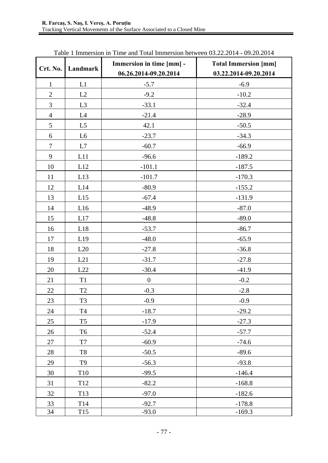| Crt. No.       | Landmark        | Immersion in time [mm] -<br>06.26.2014-09.20.2014 | <b>Total Immersion [mm]</b><br>03.22.2014-09.20.2014 |
|----------------|-----------------|---------------------------------------------------|------------------------------------------------------|
| $\mathbf{1}$   | L1              | $-5.7$                                            | $-6.9$                                               |
| $\mathbf{2}$   | L2              | $-9.2$                                            | $-10.2$                                              |
| 3              | L <sub>3</sub>  | $-33.1$                                           | $-32.4$                                              |
| $\overline{4}$ | L4              | $-21.4$                                           | $-28.9$                                              |
| 5              | L <sub>5</sub>  | 42.1                                              | $-50.5$                                              |
| 6              | L <sub>6</sub>  | $-23.7$                                           | $-34.3$                                              |
| $\overline{7}$ | L7              | $-60.7$                                           | $-66.9$                                              |
| 9              | L11             | $-96.6$                                           | $-189.2$                                             |
| $10\,$         | L12             | $-101.1$                                          | $-187.5$                                             |
| 11             | L13             | $-101.7$                                          | $-170.3$                                             |
| 12             | L14             | $-80.9$                                           | $-155.2$                                             |
| 13             | L15             | $-67.4$                                           | $-131.9$                                             |
| 14             | L16             | $-48.9$                                           | $-87.0$                                              |
| 15             | L17             | $-48.8$                                           | $-89.0$                                              |
| 16             | L18             | $-53.7$                                           | $-86.7$                                              |
| 17             | L19             | $-48.0$                                           | $-65.9$                                              |
| 18             | L20             | $-27.8$                                           | $-36.8$                                              |
| 19             | L21             | $-31.7$                                           | $-27.8$                                              |
| 20             | $\mbox{L}22$    | $-30.4$                                           | $-41.9$                                              |
| 21             | T <sub>1</sub>  | $\boldsymbol{0}$                                  | $-0.2$                                               |
| 22             | T2              | $-0.3$                                            | $-2.8$                                               |
| 23             | T <sub>3</sub>  | $-0.9$                                            | $-0.9$                                               |
| 24             | T <sub>4</sub>  | $-18.7$                                           | $-29.2$                                              |
| 25             | T <sub>5</sub>  | $-17.9$                                           | $-27.3$                                              |
| 26             | T <sub>6</sub>  | $-52.4$                                           | $-57.7$                                              |
| 27             | $\rm{T}7$       | $-60.9$                                           | $-74.6$                                              |
| 28             | T <sub>8</sub>  | $-50.5$                                           | $-89.6$                                              |
| 29             | T <sub>9</sub>  | $-56.3$                                           | $-93.8$                                              |
| 30             | T10             | $-99.5$                                           | $-146.4$                                             |
| 31             | T <sub>12</sub> | $-82.2$                                           | $-168.8$                                             |
| 32             | T13             | $-97.0$                                           | $-182.6$                                             |
| 33             | T14             | $-92.7$                                           | $-178.8$                                             |
| 34             | T <sub>15</sub> | $-93.0$                                           | $-169.3$                                             |

Table 1 Immersion in Time and Total Immersion between 03.22.2014 - 09.20.2014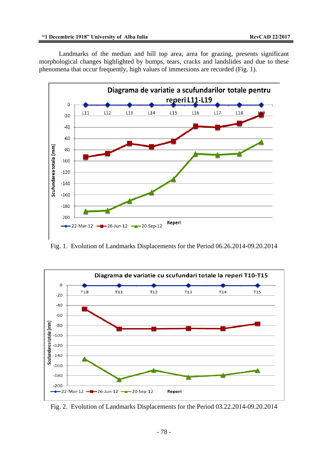Landmarks of the median and hill top area, area for grazing, presents significant morphological changes highlighted by bumps, tears, cracks and landslides and due to these phenomena that occur frequently, high values of immersions are recorded (Fig. 1).



Fig. 1. Evolution of Landmarks Displacements for the Period 06.26.2014-09.20.2014



Fig. 2. Evolution of Landmarks Displacements for the Period 03.22.2014-09.20.2014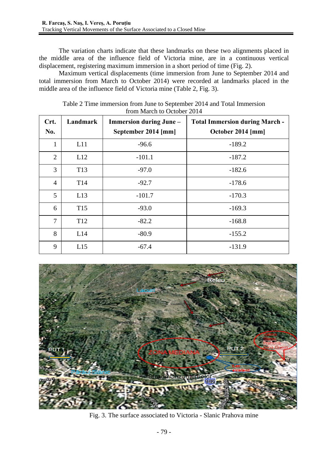The variation charts indicate that these landmarks on these two alignments placed in the middle area of the influence field of Victoria mine, are in a continuous vertical displacement, registering maximum immersion in a short period of time (Fig. 2).

Maximum vertical displacements (time immersion from June to September 2014 and total immersion from March to October 2014) were recorded at landmarks placed in the middle area of the influence field of Victoria mine (Table 2, Fig. 3).

| Crt.<br>No.    | Landmark        | <b>Immersion during June -</b><br>September 2014 [mm] | <b>Total Immersion during March -</b><br>October 2014 [mm] |
|----------------|-----------------|-------------------------------------------------------|------------------------------------------------------------|
| $\mathbf{1}$   | L11             | $-96.6$                                               | $-189.2$                                                   |
| $\overline{2}$ | L12             | $-101.1$                                              | $-187.2$                                                   |
| 3              | T <sub>13</sub> | $-97.0$                                               | $-182.6$                                                   |
| $\overline{4}$ | T <sub>14</sub> | $-92.7$                                               | $-178.6$                                                   |
| 5              | L13             | $-101.7$                                              | $-170.3$                                                   |
| 6              | T <sub>15</sub> | $-93.0$                                               | $-169.3$                                                   |
| 7              | T <sub>12</sub> | $-82.2$                                               | $-168.8$                                                   |
| 8              | L14             | $-80.9$                                               | $-155.2$                                                   |
| 9              | L15             | $-67.4$                                               | $-131.9$                                                   |

Table 2 Time immersion from June to September 2014 and Total Immersion from March to October 2014



Fig. 3. The surface associated to Victoria - Slanic Prahova mine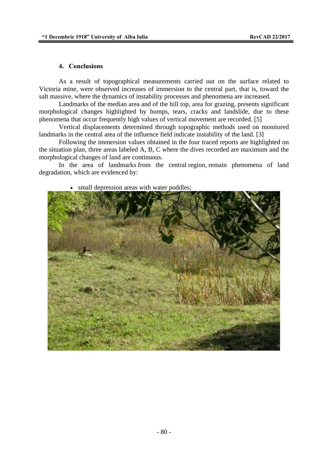#### **4. Conclusions**

As a result of topographical measurements carried out on the surface related to Victoria mine, were observed increases of immersion to the central part, that is, toward the salt massive, where the dynamics of instability processes and phenomena are increased.

Landmarks of the median area and of the hill top, area for grazing, presents significant morphological changes highlighted by bumps, tears, cracks and landslide, due to these phenomena that occur frequently high values of vertical movement are recorded. [5]

Vertical displacements determined through topographic methods used on monitored landmarks in the central area of the influence field indicate instability of the land. [3]

Following the immersion values obtained in the four traced reports are highlighted on the situation plan, three areas labeled A, B, C where the dives recorded are maximum and the morphological changes of land are continuous.

In the area of landmarks from the central region, remain phenomena of land degradation, which are evidenced by:



• small depression areas with water poddles;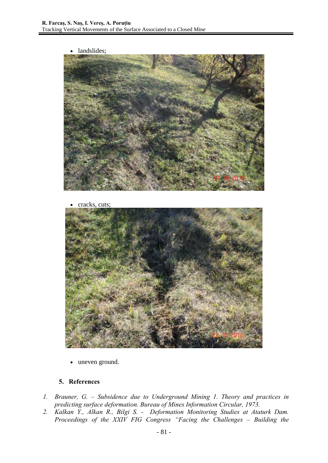• landslides;



• cracks, cuts;



• uneven ground.

## **5. References**

- *1. Brauner, G. Subsidence due to Underground Mining 1. Theory and practices in predicting surface deformation. Bureau of Mines Information Circular, 1973.*
- *2. Kalkan Y., Alkan R., Bilgi S. Deformation Monitoring Studies at Ataturk Dam. Proceedings of the XXIV FIG Congress "Facing the Challenges – Building the*